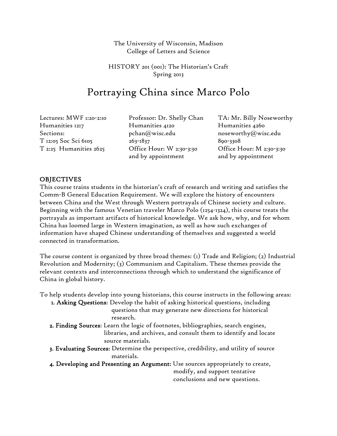# The University of Wisconsin, Madison College of Letters and Science

HISTORY 201 (001): The Historian's Craft Spring 2013

# Portraying China since Marco Polo

Lectures: MWF 1:20-2:10 Humanities 1217 Sections: T 12:05 Soc Sci 6105 T 2:25 Humanities 2625

Professor: Dr. Shelly Chan Humanities 4120 pchan@wisc.edu 263-1837 Office Hour: W 2:30-3:30 and by appointment

TA: Mr. Billy Noseworthy Humanities 4260 noseworthy@wisc.edu 890-3308 Office Hour: M 2:30-3:30 and by appointment

# **OBJECTIVES**

This course trains students in the historian's craft of research and writing and satisfies the Comm-B General Education Requirement. We will explore the history of encounters between China and the West through Western portrayals of Chinese society and culture. Beginning with the famous Venetian traveler Marco Polo (1254-1324), this course treats the portrayals as important artifacts of historical knowledge. We ask how, why, and for whom China has loomed large in Western imagination, as well as how such exchanges of information have shaped Chinese understanding of themselves and suggested a world connected in transformation.

The course content is organized by three broad themes: (1) Trade and Religion; (2) Industrial Revolution and Modernity; (3) Communism and Capitalism. These themes provide the relevant contexts and interconnections through which to understand the significance of China in global history.

To help students develop into young historians, this course instructs in the following areas:

- 1. Asking Questions: Develop the habit of asking historical questions, including questions that may generate new directions for historical research.
- 2. Finding Sources: Learn the logic of footnotes, bibliographies, search engines, libraries, and archives, and consult them to identify and locate source materials.
- 3. Evaluating Sources: Determine the perspective, credibility, and utility of source materials.
- 4. Developing and Presenting an Argument: Use sources appropriately to create, modify, and support tentative conclusions and new questions.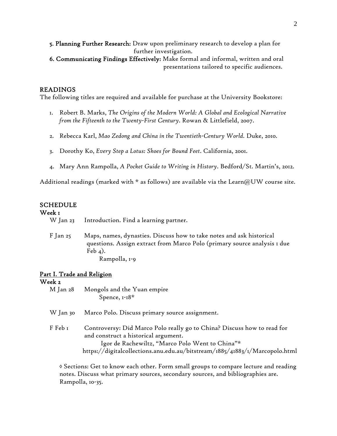- 5. Planning Further Research: Draw upon preliminary research to develop a plan for further investigation.
- 6. Communicating Findings Effectively: Make formal and informal, written and oral presentations tailored to specific audiences.

# READINGS

The following titles are required and available for purchase at the University Bookstore:

- 1. Robert B. Marks, *The Origins of the Modern World: A Global and Ecological Narrative from the Fifteenth to the Twenty-First Century*. Rowan & Littlefield, 2007.
- 2. Rebecca Karl, *Mao Zedong and China in the Twentieth-Century World.* Duke, 2010.
- 3. Dorothy Ko, *Every Step a Lotus: Shoes for Bound Feet*. California, 2001.
- 4. Mary Ann Rampolla, *A Pocket Guide to Writing in History*. Bedford/St. Martin's, 2012.

Additional readings (marked with  $*$  as follows) are available via the Learn@UW course site.

#### **SCHEDULE**

## Week 1

W Jan 23 Introduction. Find a learning partner.

F Jan 25 Maps, names, dynasties. Discuss how to take notes and ask historical questions. Assign extract from Marco Polo (primary source analysis 1 due Feb  $4$ ).

Rampolla, 1-9

# Part I. Trade and Religion

## Week 2

- M Jan 28 Mongols and the Yuan empire Spence, 1-18\*
- W Jan 30 Marco Polo. Discuss primary source assignment.
- F Feb 1 Controversy: Did Marco Polo really go to China? Discuss how to read for and construct a historical argument. Igor de Rachewiltz, "Marco Polo Went to China"\* https://digitalcollections.anu.edu.au/bitstream/1885/41883/1/Marcopolo.html

◊ Sections: Get to know each other. Form small groups to compare lecture and reading notes. Discuss what primary sources, secondary sources, and bibliographies are. Rampolla, 10-35.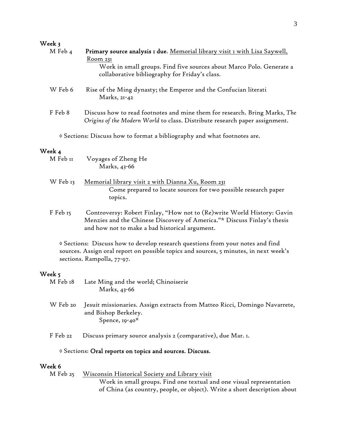| Week |  |
|------|--|
|------|--|

|         | Primary source analysis I due. Memorial library visit I with Lisa Saywell,<br>M Feb 4                                                                     |  |
|---------|-----------------------------------------------------------------------------------------------------------------------------------------------------------|--|
|         | Room 231                                                                                                                                                  |  |
|         | Work in small groups. Find five sources about Marco Polo. Generate a                                                                                      |  |
|         | collaborative bibliography for Friday's class.                                                                                                            |  |
| W Feb 6 | Rise of the Ming dynasty; the Emperor and the Confucian literati<br>Marks, 21-42                                                                          |  |
| F Feb 8 | Discuss how to read footnotes and mine them for research. Bring Marks, The<br>Origins of the Modern World to class. Distribute research paper assignment. |  |
|         | O Sections: Discuss how to format a bibliography and what footnotes are.                                                                                  |  |

## Week 4

| M Feb II | Voyages of Zheng He |
|----------|---------------------|
|          | Marks, 43-66        |

- W Feb 13 Memorial library visit 2 with Dianna Xu, Room 231 Come prepared to locate sources for two possible research paper topics.
- F Feb 15 Controversy: Robert Finlay, "How not to (Re)write World History: Gavin Menzies and the Chinese Discovery of America."\* Discuss Finlay's thesis and how not to make a bad historical argument.

◊ Sections: Discuss how to develop research questions from your notes and find sources. Assign oral report on possible topics and sources, 5 minutes, in next week's sections. Rampolla, 77-97.

## Week 5

| M Feb 18 | Late Ming and the world; Chinoiserie |
|----------|--------------------------------------|
|          | Marks, 43-66                         |

- W Feb 20 Jesuit missionaries. Assign extracts from Matteo Ricci, Domingo Navarrete, and Bishop Berkeley. Spence, 19-40\*
- F Feb 22 Discuss primary source analysis 2 (comparative), due Mar. 1.

# ◊ Sections: Oral reports on topics and sources. Discuss.

# Week 6

| M Feb 25 Wisconsin Historical Society and Library visit                   |
|---------------------------------------------------------------------------|
| Work in small groups. Find one textual and one visual representation      |
| of China (as country, people, or object). Write a short description about |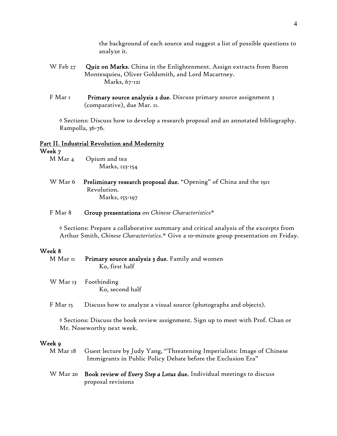the background of each source and suggest a list of possible questions to analyze it.

- W Feb 27 Quiz on Marks. China in the Enlightenment. Assign extracts from Baron Montesquieu, Oliver Goldsmith, and Lord Macartney. Marks, 67-121
- F Mar I Primary source analysis 2 due. Discuss primary source assignment 3 (comparative), due Mar. 11.

◊ Sections: Discuss how to develop a research proposal and an annotated bibliography. Rampolla, 36-76.

# Part II. Industrial Revolution and Modernity

Week 7

- M Mar 4 Opium and tea Marks, 123-154
- W Mar 6 Preliminary research proposal due. "Opening" of China and the 1911 Revolution. Marks, 155-197

#### F Mar 8 Group presentations on *Chinese Characteristics\**

◊ Sections: Prepare a collaborative summary and critical analysis of the excerpts from Arthur Smith, *Chinese Characteristics*.\* Give a 10-minute group presentation on Friday.

#### Week 8

| M Mar II Primary source analysis 3 due. Family and women |
|----------------------------------------------------------|
| Ko, first half                                           |

W Mar 13 Footbinding Ko, second half

F Mar 15 Discuss how to analyze a visual source (photographs and objects).

◊ Sections: Discuss the book review assignment. Sign up to meet with Prof. Chan or Mr. Noseworthy next week.

#### Week 9

- M Mar 18 Guest lecture by Judy Yang, "Threatening Imperialists: Image of Chinese Immigrants in Public Policy Debate before the Exclusion Era"
- W Mar 20 Book review of *Every Step a Lotus* due. Individual meetings to discuss proposal revisions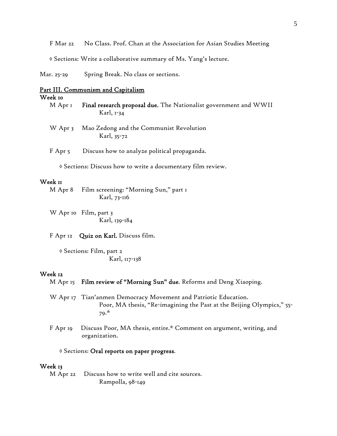F Mar 22 No Class. Prof. Chan at the Association for Asian Studies Meeting

◊ Sections: Write a collaborative summary of Ms. Yang's lecture.

Mar. 25-29 Spring Break. No class or sections.

#### Part III. Communism and Capitalism

#### Week 10

- M Apr I Final research proposal due. The Nationalist government and WWII Karl, 1-34
- W Apr 3 Mao Zedong and the Communist Revolution Karl, 35-72
- F Apr 5 Discuss how to analyze political propaganda.

◊ Sections: Discuss how to write a documentary film review.

#### Week 11

- M Apr 8 Film screening: "Morning Sun," part 1 Karl, 73-116
- W Apr 10 Film, part 3 Karl, 139-184

F Apr 12 Quiz on Karl. Discuss film.

◊ Sections: Film, part 2 Karl, 117-138

#### Week 12

- M Apr 15 Film review of "Morning Sun" due. Reforms and Deng Xiaoping.
- W Apr 17 Tian'anmen Democracy Movement and Patriotic Education. Poor, MA thesis, "Re-imagining the Past at the Beijing Olympics," 55- 79.\*
- F Apr 19 Discuss Poor, MA thesis, entire.\* Comment on argument, writing, and organization.

#### ◊ Sections: Oral reports on paper progress.

# Week 13

M Apr 22 Discuss how to write well and cite sources. Rampolla, 98-149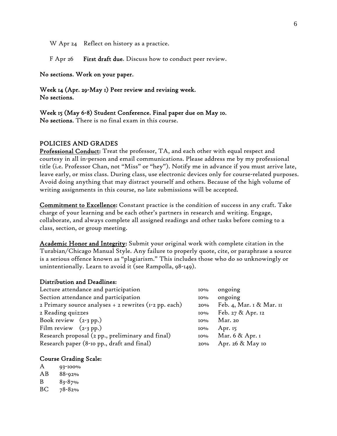W Apr 24 Reflect on history as a practice.

F Apr 26 First draft due. Discuss how to conduct peer review.

No sections. Work on your paper.

Week 14 (Apr. 29-May 1) Peer review and revising week. No sections.

## Week 15 (May 6-8) Student Conference. Final paper due on May 10.

No sections. There is no final exam in this course.

# POLICIES AND GRADES

Professional Conduct: Treat the professor, TA, and each other with equal respect and courtesy in all in-person and email communications. Please address me by my professional title (i.e. Professor Chan, not "Miss" or "hey"). Notify me in advance if you must arrive late, leave early, or miss class. During class, use electronic devices only for course-related purposes. Avoid doing anything that may distract yourself and others. Because of the high volume of writing assignments in this course, no late submissions will be accepted.

Commitment to Excellence: Constant practice is the condition of success in any craft. Take charge of your learning and be each other's partners in research and writing. Engage, collaborate, and always complete all assigned readings and other tasks before coming to a class, section, or group meeting.

Academic Honor and Integrity: Submit your original work with complete citation in the Turabian/Chicago Manual Style. Any failure to properly quote, cite, or paraphrase a source is a serious offence known as "plagiarism." This includes those who do so unknowingly or unintentionally. Learn to avoid it (see Rampolla, 98-149).

## Distribution and Deadlines:

| ongoing                  |
|--------------------------|
| ongoing                  |
| Feb. 4, Mar. 1 & Mar. 11 |
| Feb. 27 & Apr. 12        |
| Mar. 20                  |
| Apr. $15$                |
| Mar. 6 & Apr. I          |
| Apr. 26 & May 10         |
|                          |

#### Course Grading Scale:

A 93-100% AB 88-92% B 83-87% BC 78-82%